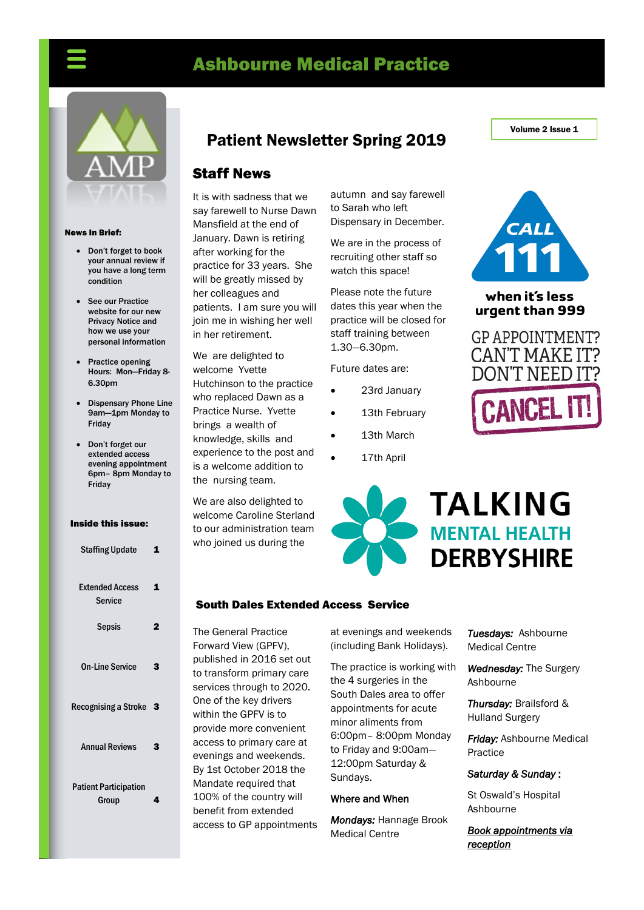# Ashbourne Medical Practice



#### News In Brief:

- Don't forget to book your annual review if you have a long term condition
- See our Practice website for our new Privacy Notice and how we use your personal information
- Practice opening Hours: Mon—Friday 8- 6.30pm
- Dispensary Phone Line 9am—1pm Monday to Friday
- Don't forget our extended access evening appointment 6pm– 8pm Monday to Friday

#### Inside this issue:

| <b>Staffing Update</b>                | 1 |
|---------------------------------------|---|
| <b>Extended Access</b><br>Service     | 1 |
| <b>Sepsis</b>                         | 2 |
| <b>On-Line Service</b>                | 3 |
| Recognising a Stroke                  | З |
| <b>Annual Reviews</b>                 | 3 |
| <b>Patient Participation</b><br>Group | 4 |

## Patient Newsletter Spring 2019

### Staff News

It is with sadness that we say farewell to Nurse Dawn Mansfield at the end of January. Dawn is retiring after working for the practice for 33 years. She will be greatly missed by her colleagues and patients. I am sure you will join me in wishing her well in her retirement.

We are delighted to welcome Yvette Hutchinson to the practice who replaced Dawn as a Practice Nurse. Yvette brings a wealth of knowledge, skills and experience to the post and is a welcome addition to the nursing team.

We are also delighted to welcome Caroline Sterland to our administration team who joined us during the

autumn and say farewell to Sarah who left Dispensary in December.

We are in the process of recruiting other staff so watch this space!

Please note the future dates this year when the practice will be closed for staff training between 1.30—6.30pm.

Future dates are:

- 23rd January
- 13th February
- 13th March
- 17th April



#### when it's less urgent than 999





#### South Dales Extended Access Service

The General Practice Forward View (GPFV), published in 2016 set out to transform primary care services through to 2020. One of the key drivers within the GPFV is to provide more convenient access to primary care at evenings and weekends. By 1st October 2018 the Mandate required that 100% of the country will benefit from extended access to GP appointments at evenings and weekends (including Bank Holidays).

The practice is working with the 4 surgeries in the South Dales area to offer appointments for acute minor aliments from 6:00pm– 8:00pm Monday to Friday and 9:00am— 12:00pm Saturday & Sundays.

#### Where and When

*Mondays:* Hannage Brook Medical Centre

*Tuesdays:* Ashbourne Medical Centre

*Wednesday:* The Surgery Ashbourne

*Thursday:* Brailsford & Hulland Surgery

*Friday:* Ashbourne Medical Practice

#### *Saturday & Sunday* :

St Oswald's Hospital Ashbourne

*Book appointments via reception* 

Volume 2 Issue 1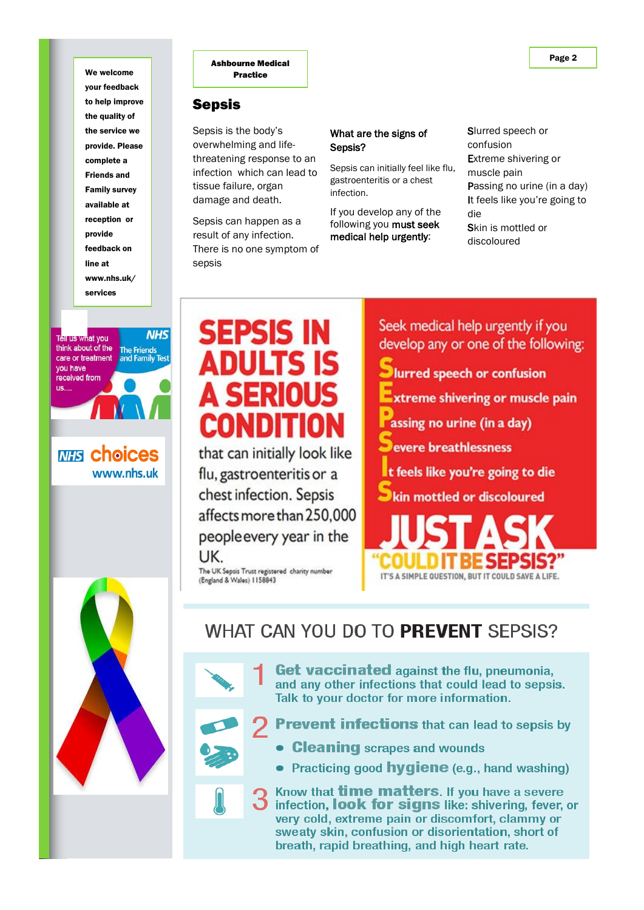your feedback to help improve the quality of the service we provide. Please complete a Friends and Family survey available at reception or provide feedback on line at www.nhs.uk/ services



**MHS Choices** www.nhs.uk



## **Sepsis**

Sepsis is the body's overwhelming and lifethreatening response to an infection which can lead to tissue failure, organ damage and death.

Sepsis can happen as a result of any infection. There is no one symptom of sepsis

#### What are the signs of Sepsis?

Sepsis can initially feel like flu, gastroenteritis or a chest infection.

If you develop any of the following you must seek medical help urgently:

Slurred speech or confusion Extreme shivering or muscle pain Passing no urine (in a day) It feels like you're going to die Skin is mottled or discoloured

# **SEPSIS IN** Adults is **A SERIOUS** CONDITIOI

that can initially look like flu, gastroenteritis or a chest infection. Sepsis affects more than 250,000 people every year in the UK.

The UK Sepsis Trust registered charity number<br>(England & Wales) 1158843

Seek medical help urgently if you develop any or one of the following:

- lurred speech or confusion
- xtreme shivering or muscle pain
- assing no urine (in a day)
- evere breathlessness
- t feels like you're going to die
- kin mottled or discoloured





**Get vaccinated** against the flu, pneumonia, and any other infections that could lead to sepsis. Talk to your doctor for more information.

- **Prevent infections** that can lead to sepsis by
	- **Cleaning** scrapes and wounds
	- Practicing good **hygiene** (e.g., hand washing)

Know that **time matters**. If you have a severe infection, look for signs like: shivering, fever, or very cold, extreme pain or discomfort, clammy or sweaty skin, confusion or disorientation, short of breath, rapid breathing, and high heart rate.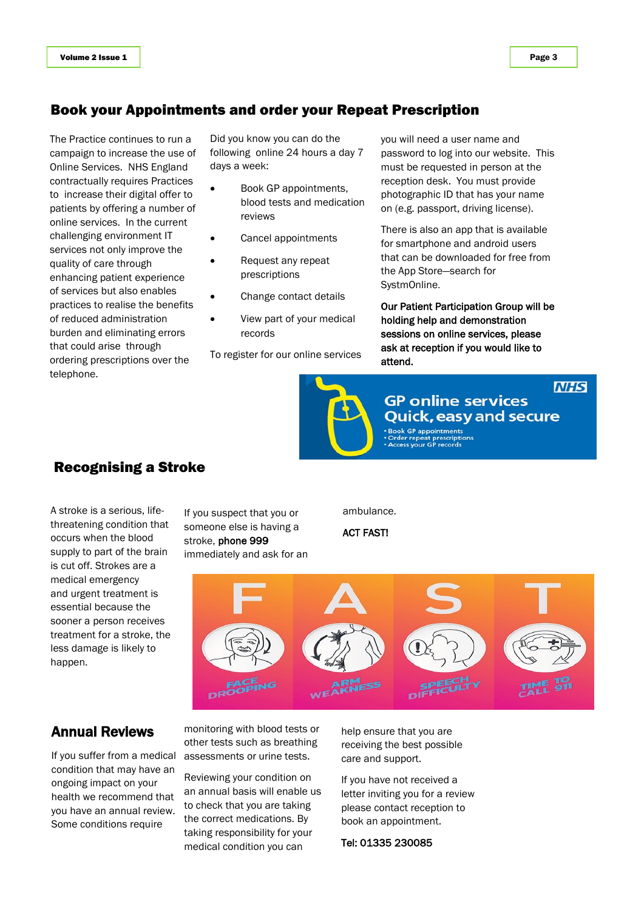## Book your Appointments and order your Repeat Prescription

The Practice continues to run a campaign to increase the use of Online Services. NHS England contractually requires Practices to increase their digital offer to patients by offering a number of online services. In the current challenging environment IT services not only improve the quality of care through enhancing patient experience of services but also enables practices to realise the benefits of reduced administration burden and eliminating errors that could arise through ordering prescriptions over the telephone.

Did you know you can do the following online 24 hours a day 7 days a week:

- Book GP appointments, blood tests and medication reviews
- Cancel appointments
- Request any repeat prescriptions
- Change contact details
- View part of your medical records

To register for our online services



**GP online services Quick, easy and secure Book GP appointments** 

you will need a user name and

password to log into our website. This must be requested in person at the reception desk. You must provide photographic ID that has your name on (e.g. passport, driving license).

There is also an app that is available for smartphone and android users that can be downloaded for free from

Our Patient Participation Group will be holding help and demonstration sessions on online services, please ask at reception if you would like to

the App Store—search for

SystmOnline.

attend.

Order repeat prescriptions<br>Access your GP records

## Recognising a Stroke

A stroke is a serious, lifethreatening condition that occurs when the blood supply to part of the brain is cut off. Strokes are a medical emergency and urgent treatment is essential because the sooner a person receives treatment for a stroke, the less damage is likely to happen.

If you suspect that you or someone else is having a stroke, phone 999 immediately and ask for an ambulance.

ACT FAST!



#### Annual Reviews

If you suffer from a medical condition that may have an ongoing impact on your health we recommend that you have an annual review. Some conditions require

monitoring with blood tests or other tests such as breathing assessments or urine tests.

Reviewing your condition on an annual basis will enable us to check that you are taking the correct medications. By taking responsibility for your medical condition you can

help ensure that you are receiving the best possible care and support.

If you have not received a letter inviting you for a review please contact reception to book an appointment.

Tel: 01335 230085

**NHS**